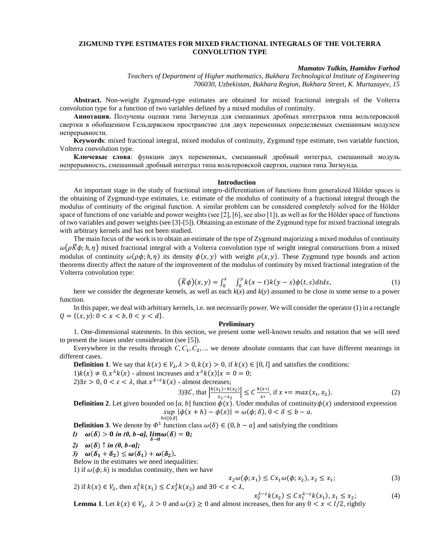## **ZIGMUND TYPE ESTIMATES FOR MIXED FRACTIONAL INTEGRALS OF THE VOLTERRA CONVOLUTION TYPE**

## *Mamatov Tulkin, Hamidov Farhod*

*Teachers of Department of Higher mathematics, Bukhara Technological Institute of Engineering 706030, Uzbekistan, Bukhara Region, Bukhara Street, K. Murtazayev, 15*

**Abstract.** Non-weight Zygmund-type estimates are obtained for mixed fractional integrals of the Volterra convolution type for a function of two variables defined by a mixed modulus of continuity.

**Аннотация.** Получены оценки типа Зигмунда для смешанных дробных интегралов типа вольтеровской свертки в обобщенном Гельдервском пространстве для двух переменных определяемых смешанным модулем непрерывности.

**Keywords**: mixed fractional integral, mixed modulus of continuity, Zygmund type estimate, two variable function, Volterra convolution type.

**Ключевые слова**: функции двух переменных, смешанный дробный интеграл, смешанный модуль непрерывность, смешанный дробный интеграл типа вольтеровской свертки, оценки типа Зигмунда.

#### **Introduction**

An important stage in the study of fractional integro-differentiation of functions from generalized Hölder spaces is the obtaining of Zygmund-type estimates, i.e. estimate of the modulus of continuity of a fractional integral through the modulus of continuity of the original function. A similar problem can be considered completely solved for the Hölder space of functions of one variable and power weights (see [2], [6], see also [1]), as well as for the Hölder space of functions of two variables and power weights (see [3]-[5]). Obtaining an estimate of the Zygmund type for mixed fractional integrals with arbitrary kernels and has not been studied.

The main focus of the work is to obtain an estimate of the type of Zygmund majorizing a mixed modulus of continuity  $\omega(\rho \vec{K}\phi; h, \eta)$  mixed fractional integral with a Volterra convolution type of weight integral constructions from a mixed modulus of continuity  $\omega(\rho\phi; h, \eta)$  its density  $\phi(x, y)$  with weight  $\rho(x, y)$ . These Zygmund type bounds and action theorems directly affect the nature of the improvement of the modulus of continuity by mixed fractional integration of the Volterra convolution type:

$$
(\widetilde{K}\phi)(x,y) = \int_0^x \int_0^y k(x-t)k(y-s)\phi(t,s)dtds,
$$
\n(1)

here we consider the degenerate kernels, as well as each  $k(x)$  and  $k(y)$  assumed to be close in some sense to a power function.

In this paper, we deal with arbitrary kernels, i.e. not necessarily power. We will consider the operator (1) in a rectangle  $Q = \{(x, y): 0 < x < b, 0 < y < d\}.$ 

# **Preliminary**

1. One-dimensional statements. In this section, we present some well-known results and notation that we will need to present the issues under consideration (see [5]).

Everywhere in the results through  $C, C_1, C_2, \ldots$  we denote absolute constants that can have different meanings in different cases.

**Definition 1**. We say that  $k(x) \in V_\lambda$ ,  $\lambda > 0$ ,  $k(x) > 0$ , if  $k(x) \in [0, l]$  and satisfies the conditions:  $1)k(x) \neq 0, x^{\lambda}k(x)$  - almost increases and  $x^{\lambda}k(x)|x = 0 = 0;$ 2)∃ $\varepsilon > 0$ ,  $0 < \varepsilon < \lambda$ , that  $x^{\lambda - \varepsilon} k(x)$  - almost decreases;

3) 
$$
\exists C
$$
, that  $\left| \frac{k(x_1) - k(x_2)}{x_1 - x_2} \right| \le C \frac{k(x^*)}{x^*}$ , if  $x = max(x_1, x_2)$ . (2)

**Definition 2**. Let given bounded on [a, b] function  $\phi(x)$ . Under modulus of continuity $\phi(x)$  understood expression  $sup \, |\phi(x + h) - \phi(x)| = \omega(\phi; \delta), 0 < \delta \le b - a.$  $h \in [0,\delta]$ 

**Definition 3**. We denote by  $\Phi^1$  function class  $\omega(\delta) \in (0, b - a]$  and satisfying the conditions *1*)  $\omega(\delta) > 0$  in (0, b-a],  $\lim_{\delta \to 0} \omega(\delta) = 0;$ 

$$
\begin{array}{c}\n\delta \rightarrow 0 \\
\hline\n\end{array}
$$

- *2)*  $\omega(\delta) \uparrow in (0, b-a);$
- 3)  $\omega(\delta_1 + \delta_2) \leq \omega(\delta_1) + \omega(\delta_2)$ .

Below in the estimates we need inequalities:

1) if  $\omega(\phi; h)$  is modulus continuity, then we have

$$
x_2\omega(\phi; x_1) \le C x_1\omega(\phi; x_2), x_2 \le x_1;
$$
\n
$$
2) \text{ if } k(x) \in V_\lambda \text{, then } x_1^{\lambda}k(x_1) \le C x_2^{\lambda}k(x_2) \text{ and } \exists 0 < \varepsilon < \lambda,
$$
\n
$$
(3)
$$

$$
x_2^{\lambda-\varepsilon}k(x_2) \le C x_1^{\lambda-\varepsilon}k(x_1), x_1 \le x_2;
$$
 (4)

**Lemma 1**. Let  $k(x) \in V_\lambda$ ,  $\lambda > 0$  and  $\omega(x) \ge 0$  and almost increases, then for any  $0 < x < l/2$ , rightly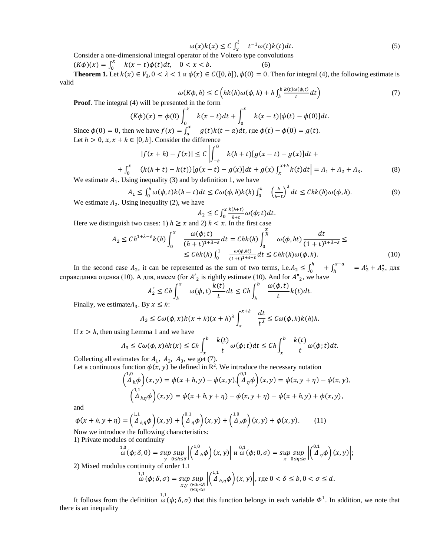$$
\omega(x)k(x) \le C \int_x^l t^{-1} \omega(t)k(t)dt.
$$
\n(5)

Consider a one-dimensional integral operator of the Voltero type convolutions

 $(K\phi)(x) = \int_0^x$  $\int_0^x k(x-t)\phi(t)dt, \quad 0 < x < b.$  (6)

**Theorem 1.** Let  $k(x) \in V_\lambda$ ,  $0 < \lambda < 1$   $\mu(\alpha) \in C([0, b])$ ,  $\phi(0) = 0$ . Then for integral (4), the following estimate is valid

$$
\omega(K\phi, h) \le C \left( hk(h)\omega(\phi, h) + h \int_h^b \frac{k(t)\omega(\phi, t)}{t} dt \right) \tag{7}
$$

**Proof.** The integral (4) will be presented in the form

$$
(K\phi)(x) = \phi(0)\int_0^x k(x-t)dt + \int_0^x k(x-t)[\phi(t) - \phi(0)]dt.
$$
  
then we have  $f(x) = \int_0^x a(t)k(t-a)dt$   $\text{The } \phi(t) - \phi(0) = a(t)$ 

Since  $\phi(0) = 0$ , then we have  $f(x) = \int_{a}^{x}$ Let  $h > 0$ ,  $x, x + h \in [0, b]$ . Consider the difference  $(a)$  *a* )  $\pi$ ,  $\pi$  *a*  $\varphi(t) - \varphi(0) = g(t)$ .

$$
|f(x+h) - f(x)| \le C \left| \int_{-h}^{0} k(h+t)[g(x-t) - g(x)]dt + \right|
$$
  
+ 
$$
\int_{0}^{x} (k(h+t) - k(t))[g(x-t) - g(x)]dt + g(x)\int_{x}^{x+h} k(t)dt \right| = A_{1} + A_{2} + A_{3}.
$$
 (8)

We estimate  $A_1$ . Using inequality (3) and by definition 1, we have

$$
A_1 \le \int_0^h \omega(\phi, t) k(h - t) dt \le C \omega(\phi, h) k(h) \int_0^h \left(\frac{h}{h - t}\right)^{\lambda} dt \le Chk(h) \omega(\phi, h). \tag{9}
$$
Ising inequality (2) we have

We estimate  $A_2$ . Using inequality (2), we have

$$
A_2 \le C \int_0^x \frac{k(h+t)}{h+t} \omega(\phi; t) dt.
$$

*Here we distinguish two cases: 1)*  $h \ge x$  and 2)  $h < x$ . In the first case

$$
A_2 \le Ch^{1+\lambda-\varepsilon}k(h)\int_0^x \frac{\omega(\phi;t)}{(h+t)^{1+\lambda-\varepsilon}}dt = Chk(h)\int_0^{\frac{x}{h}} \omega(\phi, ht)\frac{dt}{(1+t)^{1+\lambda-\varepsilon}} \le
$$
  

$$
\le Chk(h)\int_0^1 \frac{\omega(\phi, ht)}{(1+t)^{1+\lambda-\varepsilon}}dt \le Chk(h)\omega(\phi, h).
$$
 (10)

In the second case  $A_2$ , it can be represented as the sum of two terms, i.e.  $A_2 \leq \int_0^h$  $\int_{0}^{h} + \int_{h}^{x-a}$  $A'_2 + A''_2$ , для справедлива оценка (10). А для, имеем (for  $A'_{2}$  is rightly estimate (10). And for  $A''_{2}$ , we have

$$
A_2'' \le Ch \int_h^x \omega(\phi, t) \frac{k(t)}{t} dt \le Ch \int_h^b \frac{\omega(\phi, t)}{t} k(t) dt.
$$

Finally, we estimate $A_3$ . By  $x \leq h$ :

$$
A_3 \leq C\omega(\phi, x)k(x+h)(x+h)^{\lambda}\int_x^{x+h} \frac{dt}{t^{\lambda}} \leq C\omega(\phi, h)k(h)h.
$$

If  $x > h$ , then using Lemma 1 and we have

$$
A_3 \le C\omega(\phi, x)hk(x) \le Ch \int_x^b \frac{k(t)}{t} \omega(\phi; t)dt \le Ch \int_x^b \frac{k(t)}{t} \omega(\phi; t)dt.
$$

Collecting all estimates for  $A_1$ ,  $A_2$ ,  $A_3$ , we get (7). Let a continuous function  $\phi(x, y)$  be defined in R<sup>2</sup>. We introduce the necessary notation

$$
\begin{aligned}\n\left(\n\begin{array}{c}\n\lambda, & 0 \\
\Delta_h \phi\n\end{array}\right)(x, y) &= \phi(x + h, y) - \phi(x, y), \\
\left(\n\begin{array}{c}\n\lambda^2, & 0 \\
\Delta_h \phi\n\end{array}\right)(x, y) &= \phi(x + h, y) - \phi(x, y), \\
\left(\n\begin{array}{c}\n\lambda^2, & 0 \\
\Delta_{h, \eta} \phi\n\end{array}\right)(x, y) &= \phi(x + h, y + \eta) - \phi(x, y + \eta) - \phi(x + h, y) + \phi(x, y),\n\end{aligned}
$$

and

$$
\phi(x + h, y + \eta) = \begin{pmatrix} 1.1 \\ \Delta_{h,\eta} \phi \end{pmatrix} (x, y) + \begin{pmatrix} 0.1 \\ \Delta_{\eta} \phi \end{pmatrix} (x, y) + \begin{pmatrix} 1.0 \\ \Delta_h \phi \end{pmatrix} (x, y) + \phi(x, y). \tag{11}
$$
  
Now we introduce the following characteristics:

1) Private modules of continuity

$$
\omega^{1,0}(\phi;\delta,0)=\sup_{y}\sup_{0\leq h\leq \delta}\left|\left(\stackrel{1,0}{\Delta}_h\phi\right)(x,y)\right| \le \omega^{0,1}(\phi;0,\sigma)=\sup_{x}\sup_{0\leq \eta\leq \sigma}\left|\left(\stackrel{0,1}{\Delta}_\eta\phi\right)(x,y)\right|;
$$

2) Mixed modulus continuity of order 1.1

$$
\omega(\phi;\delta,\sigma)=\sup_{\substack{x,y\\0\leq\eta\leq\sigma}}\sup_{\substack{0\leq h\leq\delta\\0\leq\eta\leq\sigma}}\left|\binom{1,1}{\Delta_{h,\eta}\phi}(x,y)\right|,\text{ for }0<\delta\leq b, 0<\sigma\leq d.
$$

It follows from the definition  $\omega(\phi; \delta, \sigma)$  that this function belongs in each variable  $\Phi^1$ . In addition, we note that there is an inequality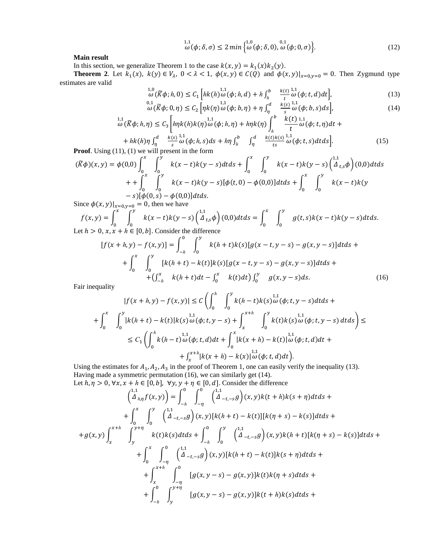$$
\omega(\phi;\delta,\sigma) \le 2\min\left\{\omega(\phi;\delta,0),\omega(\phi;0,\sigma)\right\}.
$$
\n(12)

**Main result** 

In this section, we generalize Theorem 1 to the case  $k(x, y) = k_1(x)k_2(y)$ .

**Theorem 2**. Let  $k_1(x)$ ,  $k(y) \in V_\lambda$ ,  $0 < \lambda < 1$ ,  $\phi(x, y) \in C(Q)$  and  $\phi(x, y)|_{x=0, y=0} = 0$ . Then Zygmund type estimates are valid

$$
\omega^{1,0}(\widetilde{K}\phi; h, 0) \le C_1 \left[ hk(h)\omega(\phi; h, d) + h \int_h^b \frac{k(t)^{1,1}}{t} \omega(\phi; t, d) dt \right],\tag{13}
$$

$$
\omega \left( \widetilde{K}\phi; 0, \eta \right) \leq C_2 \left[ \eta k(\eta) \omega \left( \phi; b, \eta \right) + \eta \int_{\eta}^{a} \frac{k(s) \zeta}{s} \omega \left( \phi; b, s \right) ds \right],\tag{14}
$$
\n
$$
\omega \left( \widetilde{K}\phi; h, \eta \right) \leq C_3 \left[ \eta k(h)k(\eta) \omega \left( \phi; h, \eta \right) + h\eta k(\eta) \int_{h}^{b} \frac{k(t) \zeta}{t} \omega \left( \phi; t, \eta \right) dt + \right]
$$

$$
+ hk(h)\eta \int_{\eta}^{d} \frac{k(s)}{s} \frac{1}{\omega} \frac{1}{(\phi; h, s)} ds + h\eta \int_{h}^{b} \int_{\eta}^{d} \frac{k(t)k(s)}{ts} \frac{1}{\omega} \frac{1}{(\phi; t, s)} dt ds.
$$
 (15)

$$
(\widetilde{K}\phi)(x, y) = \phi(0,0) \int_0^x \int_0^y k(x-t)k(y-s)dtds + \int_0^x \int_0^y k(x-t)k(y-s) \left(\frac{1}{4}t, \phi\right)(0,0)dt ds
$$
  
+ 
$$
+ \int_0^x \int_0^y k(x-t)k(y-s)[\phi(t,0) - \phi(0,0)]dtds + \int_0^x \int_0^y k(x-t)k(y-s) [\phi(0,s) - \phi(0,0)]dtds.
$$

Since  $\phi(x, y)|_{x=0, y=0} = 0$ , then we have

$$
f(x,y) = \int_0^x \int_0^y k(x-t)k(y-s) \left(\frac{1}{4}t, s\phi\right)(0,0) dt ds = \int_0^x \int_0^y g(t,s)k(x-t)k(y-s) dt ds.
$$
  
Let  $h > 0$ ,  $x, x + h \in [0, b]$ . Consider the difference

$$
[f(x+h,y)-f(x,y)] = \int_{-h}^{0} \int_{0}^{y} k(h+t)k(s)[g(x-t,y-s)-g(x,y-s)]dtds ++ \int_{0}^{x} \int_{0}^{y} [k(h+t)-k(t)]k(s)[g(x-t,y-s)-g(x,y-s)]dtds ++ (\int_{-h}^{x} k(h+t)dt - \int_{0}^{x} k(t)dt) \int_{0}^{y} g(x,y-s)ds.
$$
 (16)

Fair inequality

$$
|f(x+h,y)-f(x,y)| \le C \left( \int_0^h \int_0^y k(h-t)k(s) \omega(\phi; t, y-s) dt ds + \int_0^x \int_0^y k(h+t) - k(t) |k(s) \omega(\phi; t, y-s) + \int_x^{x+h} \int_0^y k(t)k(s) \omega(\phi; t, y-s) dt ds \right) \le
$$
  

$$
\le C_1 \left( \int_0^h k(h-t) \omega(\phi; t, d) dt + \int_0^x |k(x+h) - k(t)| \omega(\phi; t, d) dt + \int_x^{x+h} |k(x+h) - k(x)| \omega(\phi; t, d) dt \right).
$$

Using the estimates for  $A_1$ ,  $A_2$ ,  $A_3$  in the proof of Theorem 1, one can easily verify the inequality (13). Having made a symmetric permutation (16), we can similarly get (14).

Let  $h, \eta > 0$ ,  $\forall x, x + h \in [0, b]$ ,  $\forall y, y + \eta \in [0, d]$ . Consider the difference

$$
\begin{aligned}\n\left(\frac{1}{\Delta}_{h,\eta}f(x,y)\right) &= \int_{-h}^{0} \int_{-\eta}^{0} \left(\frac{1}{\Delta}_{-t,-s}g\right)(x,y)k(t+h)k(s+\eta)dtds + \\
&+ \int_{0}^{x} \int_{0}^{y} \left(\frac{1}{\Delta}_{-t,-s}g\right)(x,y)[k(h+t)-k(t)][k(\eta+s)-k(s)]dtds + \\
&+ g(x,y) \int_{x}^{x+h} \int_{y}^{y+\eta} k(t)k(s)dtds + \int_{-h}^{0} \int_{0}^{y} \left(\frac{1}{\Delta}_{-t,-s}g\right)(x,y)k(h+t)[k(\eta+s)-k(s)]dtds + \\
&+ \int_{0}^{x} \int_{-\eta}^{0} \left(\frac{1}{\Delta}_{-t,-s}g\right)(x,y)[k(h+t)-k(t)]k(s+\eta)dtds + \\
&+ \int_{x}^{x+h} \int_{-\eta}^{0} [g(x,y-s)-g(x,y)]k(t)k(\eta+s)dtds + \\
&+ \int_{-h}^{0} \int_{y}^{y+\eta} [g(x,y-s)-g(x,y)]k(t+h)k(s)dtds + \n\end{aligned}
$$